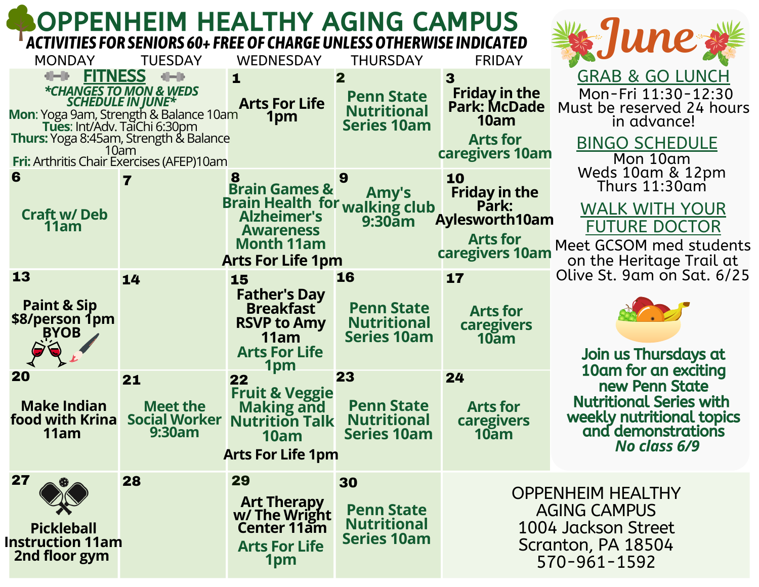## OPPENHEIM HEALTHY AGING CAMPUS *ACTIVITIES FOR SENIORS 60+ FREEOF CHARGEUNLESSOTHERWISE INDICATED*

| <b>MONDAY</b>                                                                                                                                                                                                                                                             | <b>WEDNESDAY</b><br><b>TUESDAY</b>                                                                                                                               | <b>THURSDAY</b>                                                                          | <b>FRIDAY</b>                                                                                                        |                                                                                                                                             |
|---------------------------------------------------------------------------------------------------------------------------------------------------------------------------------------------------------------------------------------------------------------------------|------------------------------------------------------------------------------------------------------------------------------------------------------------------|------------------------------------------------------------------------------------------|----------------------------------------------------------------------------------------------------------------------|---------------------------------------------------------------------------------------------------------------------------------------------|
| <b>FITNESS</b><br>에서버<br>*CHANGES TO MON & WEDS<br><b>SCHEDULE IN JUNE*</b><br><b>Mon:</b> Yoga 9am, Strength & Balance 10am<br>Tues: Int/Adv. TaiChi 6:30pm<br><b>Thurs:</b> Yoga 8:45am, Strength & Balance<br>10am<br><b>Fri: Arthritis Chair Exercises (AFEP)10am</b> | $-10 - 10$<br>1<br><b>Arts For Life</b><br>1pm                                                                                                                   | $\overline{\mathbf{2}}$<br><b>Penn State</b><br><b>Nutritional</b><br><b>Series 10am</b> | $\overline{\mathbf{3}}$<br><b>Friday in the</b><br><b>Park: McDade</b><br>10am<br><b>Arts for</b><br>caregivers 10am | <b>GRAB &amp; GO LUNCH</b><br>Mon-Fri 11:30-12:30<br>Must be reserved 24 hours<br>in advance!<br><b>BINGO SCHEDULE</b><br>Mon 10am          |
| 6<br><b>Craft w/Deb</b><br>11am                                                                                                                                                                                                                                           | <b>Brain Games &amp;</b><br><b>Brain Health for</b><br><b>Alzheimer's</b><br><b>Awareness</b><br><b>Month 11am</b><br><b>Arts For Life 1pm</b>                   | 9<br>Amy's<br>walking club<br>$9:30$ am                                                  | 10<br><b>Friday in the</b><br>Pārk:<br><b>Aylesworth10am</b><br><b>Arts for</b><br>caregivers 10am                   | Weds 10am & 12pm<br>Thurs 11:30am<br><b>WALK WITH YOUR</b><br><b>FUTURE DOCTOR</b><br>Meet GCSOM med students<br>on the Heritage Trail at   |
| 13<br>14<br><b>Paint &amp; Sip</b><br>\$8/person 1pm<br><b>BYOB</b>                                                                                                                                                                                                       | 15<br><b>Father's Day</b><br><b>Breakfast</b><br><b>RSVP to Amy</b><br>11am<br><b>Arts For Life</b><br>1pm                                                       | 16<br><b>Penn State</b><br><b>Nutritional</b><br><b>Series 10am</b>                      | 17<br><b>Arts for</b><br>caregivers<br>$10a$ m                                                                       | Olive St. 9am on Sat. 6/25<br>Join us Thursdays at                                                                                          |
| 20<br>21<br><b>Make Indian</b><br>food with Krina<br>11am                                                                                                                                                                                                                 | 22<br><b>Fruit &amp; Veggie</b><br><b>Meet the</b><br><b>Making and<br/>Nutrition Talk</b><br><b>Social Worker</b><br>9:30am<br>10am<br><b>Arts For Life 1pm</b> | 23<br><b>Penn State</b><br><b>Nutritional</b><br><b>Series 10am</b>                      | 24<br><b>Arts for</b><br><b>caregivers</b><br>$10a$ m                                                                | 10am for an exciting<br>new Penn State<br><b>Nutritional Series with</b><br>weekly nutritional topics<br>and demonstrations<br>No class 6/9 |
| 27<br>28<br><b>Pickleball</b><br><b>Instruction 11am</b><br>2nd floor gym                                                                                                                                                                                                 | 29<br><b>Art Therapy<br/>w/ The Wright<br/>Center 11am</b><br><b>Arts For Life</b><br>1pm                                                                        | 30<br><b>Penn State</b><br><b>Nutritional</b><br><b>Series 10am</b>                      | <b>OPPENHEIM HEALTHY</b><br><b>AGING CAMPUS</b><br>1004 Jackson Street<br>Scranton, PA 18504<br>570-961-1592         |                                                                                                                                             |

**当然"June ??!**